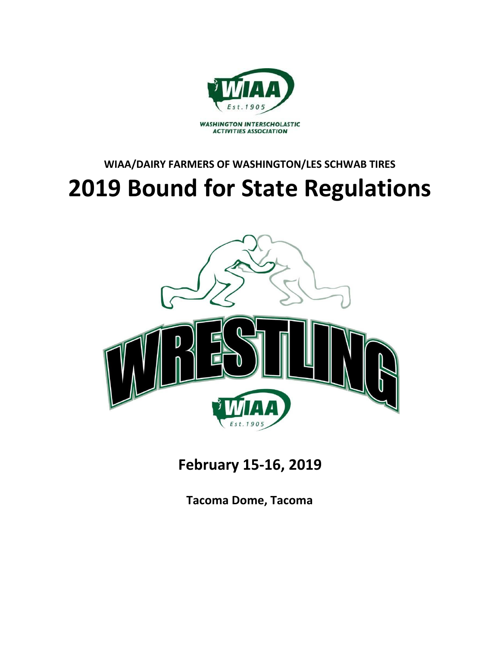

# **WIAA/DAIRY FARMERS OF WASHINGTON/LES SCHWAB TIRES 2019 Bound for State Regulations**



**February 15-16, 2019**

**Tacoma Dome, Tacoma**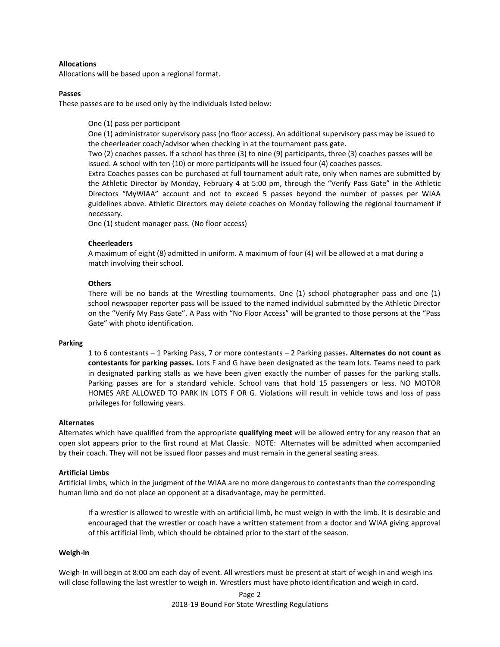## **Allocations**

Allocations will be based upon a regional format.

## **Passes**

These passes are to be used only by the individuals listed below:

One (1) pass per participant

One (1) administrator supervisory pass (no floor access). An additional supervisory pass may be issued to the cheerleader coach/advisor when checking in at the tournament pass gate.

Two (2) coaches passes. If a school has three (3) to nine (9) participants, three (3) coaches passes will be issued. A school with ten (10) or more participants will be issued four (4) coaches passes.

Extra Coaches passes can be purchased at full tournament adult rate, only when names are submitted by the Athletic Director by Monday, February 4 at 5:00 pm, through the "Verify Pass Gate" in the Athletic Directors "MyWIAA" account and not to exceed 5 passes beyond the number of passes per WIAA guidelines above. Athletic Directors may delete coaches on Monday following the regional tournament if necessary.

One (1) student manager pass. (No floor access)

## **Cheerleaders**

A maximum of eight (8) admitted in uniform. A maximum of four (4) will be allowed at a mat during a match involving their school.

# **Others**

There will be no bands at the Wrestling tournaments. One (1) school photographer pass and one (1) school newspaper reporter pass will be issued to the named individual submitted by the Athletic Director on the "Verify My Pass Gate". A Pass with "No Floor Access" will be granted to those persons at the "Pass Gate" with photo identification.

#### **Parking**

1 to 6 contestants – 1 Parking Pass, 7 or more contestants – 2 Parking passes**. Alternates do not count as contestants for parking passes.** Lots F and G have been designated as the team lots. Teams need to park in designated parking stalls as we have been given exactly the number of passes for the parking stalls. Parking passes are for a standard vehicle. School vans that hold 15 passengers or less. NO MOTOR HOMES ARE ALLOWED TO PARK IN LOTS F OR G. Violations will result in vehicle tows and loss of pass privileges for following years.

#### **Alternates**

Alternates which have qualified from the appropriate **qualifying meet** will be allowed entry for any reason that an open slot appears prior to the first round at Mat Classic. NOTE: Alternates will be admitted when accompanied by their coach. They will not be issued floor passes and must remain in the general seating areas.

## **Artificial Limbs**

Artificial limbs, which in the judgment of the WIAA are no more dangerous to contestants than the corresponding human limb and do not place an opponent at a disadvantage, may be permitted.

If a wrestler is allowed to wrestle with an artificial limb, he must weigh in with the limb. It is desirable and encouraged that the wrestler or coach have a written statement from a doctor and WIAA giving approval of this artificial limb, which should be obtained prior to the start of the season.

#### **Weigh-in**

Weigh-In will begin at 8:00 am each day of event. All wrestlers must be present at start of weigh in and weigh ins will close following the last wrestler to weigh in. Wrestlers must have photo identification and weigh in card.

> Page 2 2018-19 Bound For State Wrestling Regulations